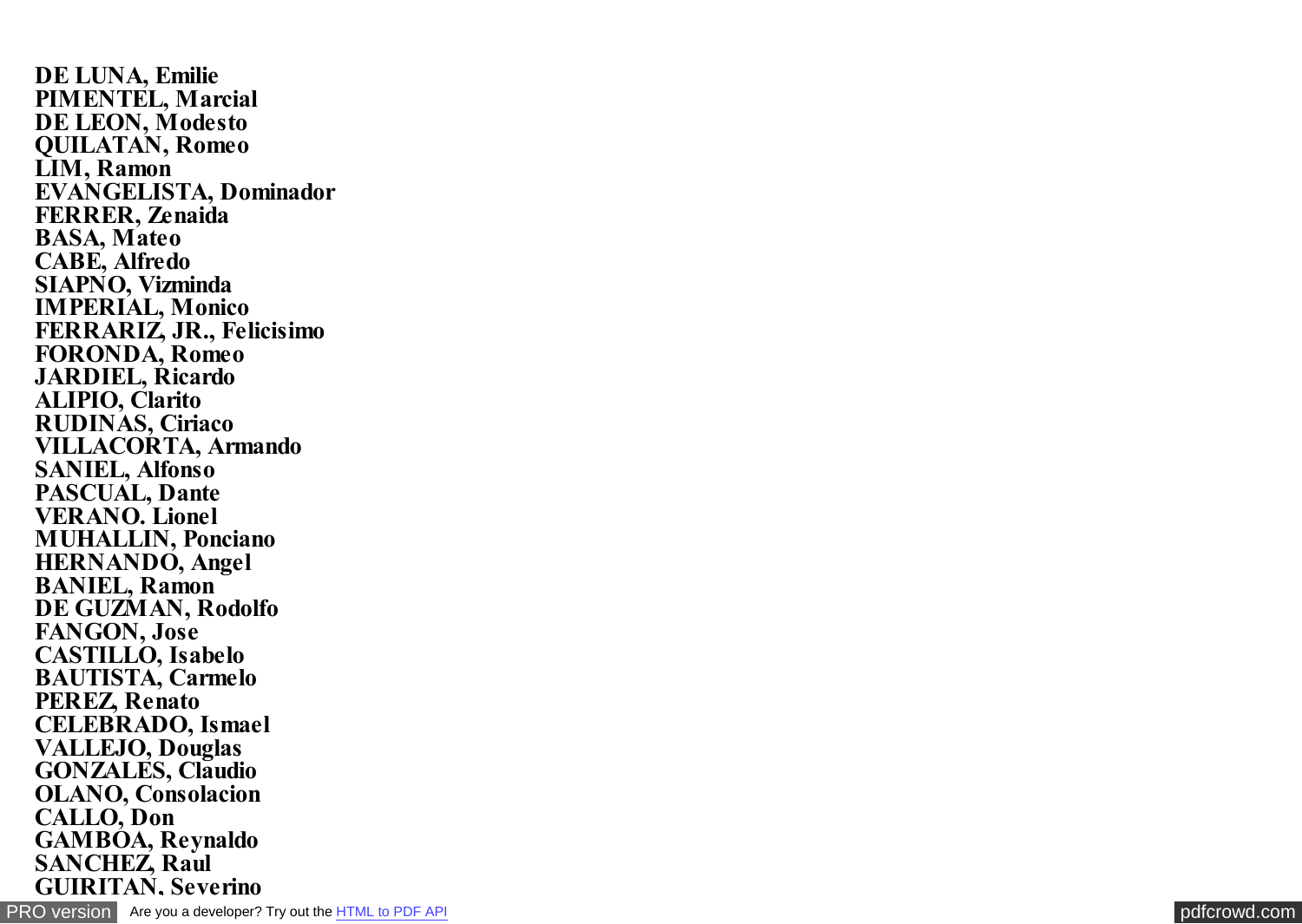**DE LUNA, Emilie PIMENTEL, Marcial DE LEON, Modesto QUILATAN, Romeo LIM, Ramon EVANGELISTA, Dominador FERRER, Zenaida BASA, Mateo CABE, Alfredo SIAPNO, Vizminda IMPERIAL, Monico FERRARIZ, JR., Felicisimo FORONDA, Romeo JARDIEL, Ricardo ALIPIO, Clarito RUDINAS, Ciriaco VILLACORTA, Armando SANIEL, Alfonso PASCUAL, Dante VERANO. Lionel MUHALLIN, Ponciano HERNANDO, Angel BANIEL, Ramon DE GUZMAN, Rodolfo FANGON, Jose CASTILLO, Isabelo BAUTISTA, Carmelo PEREZ, Renato CELEBRADO, Ismael VALLEJO, Douglas GONZALES, Claudio OLANO, Consolacion CALLO, Don GAMBOA, Reynaldo SANCHEZ, Raul GUIRITAN, Severino**

[PRO version](http://pdfcrowd.com/customize/) Are you a developer? Try out th[e HTML to PDF API](http://pdfcrowd.com/html-to-pdf-api/?ref=pdf) [pdfcrowd.com](http://pdfcrowd.com)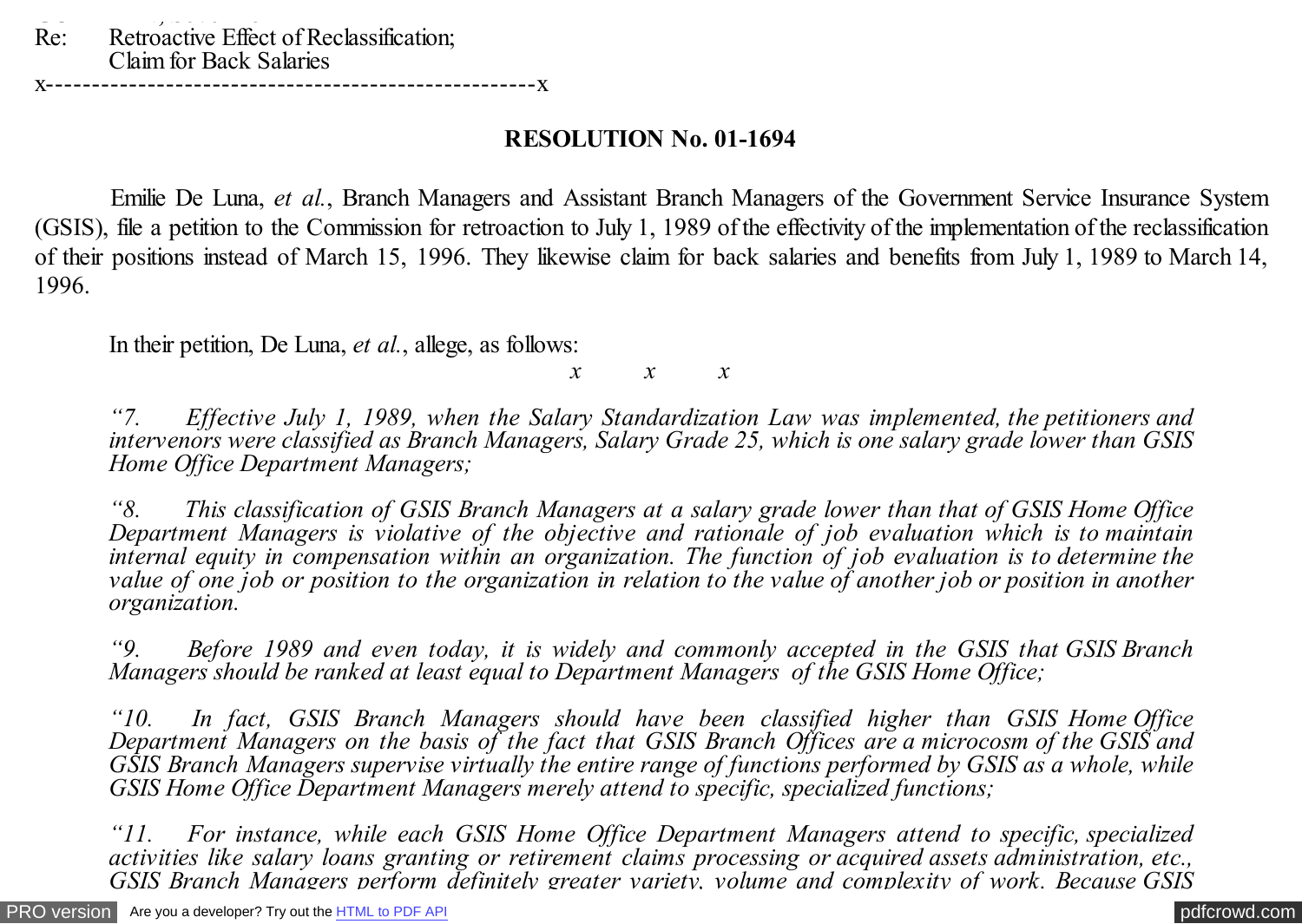## **RESOLUTION No. 01-1694**

 Emilie De Luna, *et al.*, Branch Managers and Assistant Branch Managers of the Government Service Insurance System (GSIS), file a petition to the Commission for retroaction to July 1, 1989 of the effectivity of the implementation of the reclassification of their positions instead of March 15, 1996. They likewise claim for back salaries and benefits from July 1, 1989 to March 14, 1996.

In their petition, De Luna, *et al.*, allege, as follows:

*x x x*

*"7. Effective July 1, 1989, when the Salary Standardization Law was implemented, the petitioners and intervenors were classified as Branch Managers, Salary Grade 25, which is one salary grade lower than GSIS Home Office Department Managers;*

*"8. This classification of GSIS Branch Managers at a salary grade lower than that of GSIS Home Office Department Managers is violative of the objective and rationale of job evaluation which is to maintain internal equity in compensation within an organization. The function of job evaluation is to determine the value of one job or position to the organization in relation to the value of another job or position in another organization.*

*"9. Before 1989 and even today, it is widely and commonly accepted in the GSIS that GSIS Branch Managers should be ranked at least equal to Department Managers of the GSIS Home Office;*

*"10. In fact, GSIS Branch Managers should have been classified higher than GSIS Home Office Department Managers on the basis of the fact that GSIS Branch Offices are a microcosm of the GSIS and GSIS Branch Managers supervise virtually the entire range of functions performed by GSIS as a whole, while GSIS Home Office Department Managers merely attend to specific, specialized functions;*

*"11. For instance, while each GSIS Home Office Department Managers attend to specific, specialized activities like salary loans granting or retirement claims processing or acquired assets administration, etc., GSIS Branch Managers perform definitely greater variety, volume and complexity of work. Because GSIS*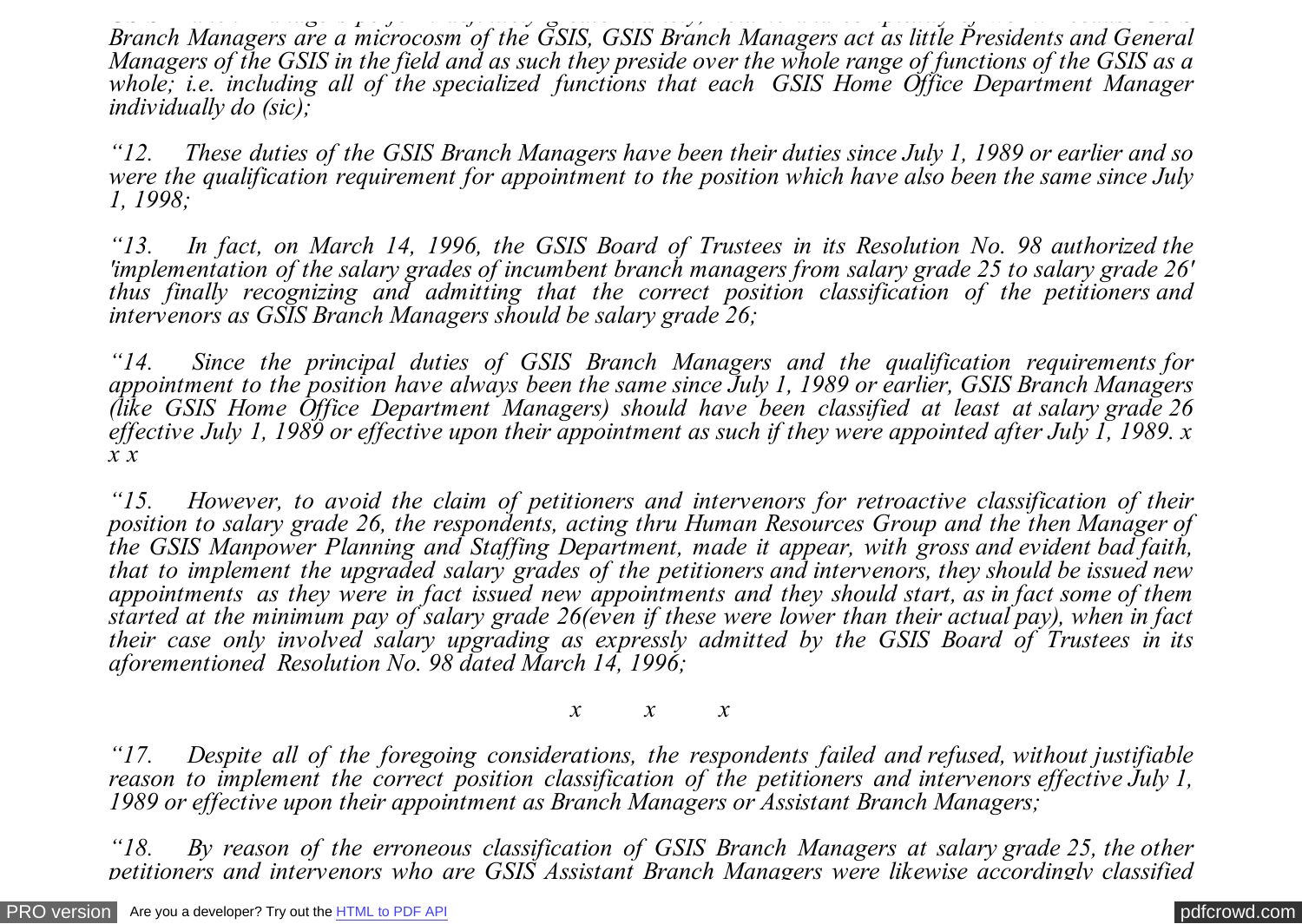*GSIS Branch Managers perform definitely greater variety, volume and complexity of work. Because GSIS Branch Managers are a microcosm of the GSIS, GSIS Branch Managers act as little Presidents and General Managers of the GSIS in the field and as such they preside over the whole range of functions of the GSIS as a whole; i.e. including all of the specialized functions that each GSIS Home Office Department Manager individually do (sic);*

*"12. These duties of the GSIS Branch Managers have been their duties since July 1, 1989 or earlier and so were the qualification requirement for appointment to the position which have also been the same since July 1, 1998;*

*"13. In fact, on March 14, 1996, the GSIS Board of Trustees in its Resolution No. 98 authorized the 'implementation of the salary grades of incumbent branch managers from salary grade 25 to salary grade 26' thus finally recognizing and admitting that the correct position classification of the petitioners and intervenors as GSIS Branch Managers should be salary grade 26;*

*"14. Since the principal duties of GSIS Branch Managers and the qualification requirements for appointment to the position have always been the same since July 1, 1989 or earlier, GSIS Branch Managers (like GSIS Home Office Department Managers) should have been classified at least at salary grade 26 effective July 1, 1989 or effective upon their appointment as such if they were appointed after July 1, 1989. x x x*

*"15. However, to avoid the claim of petitioners and intervenors for retroactive classification of their position to salary grade 26, the respondents, acting thru Human Resources Group and the then Manager of the GSIS Manpower Planning and Staffing Department, made it appear, with gross and evident bad faith, that to implement the upgraded salary grades of the petitioners and intervenors, they should be issued new appointments as they were in fact issued new appointments and they should start, as in fact some of them started at the minimum pay of salary grade 26(even if these were lower than their actual pay), when in fact their case only involved salary upgrading as expressly admitted by the GSIS Board of Trustees in its aforementioned Resolution No. 98 dated March 14, 1996;*

*x x x*

*"17. Despite all of the foregoing considerations, the respondents failed and refused, without justifiable reason to implement the correct position classification of the petitioners and intervenors effective July 1, 1989 or effective upon their appointment as Branch Managers or Assistant Branch Managers;*

*"18. By reason of the erroneous classification of GSIS Branch Managers at salary grade 25, the other petitioners and intervenors who are GSIS Assistant Branch Managers were likewise accordingly classified*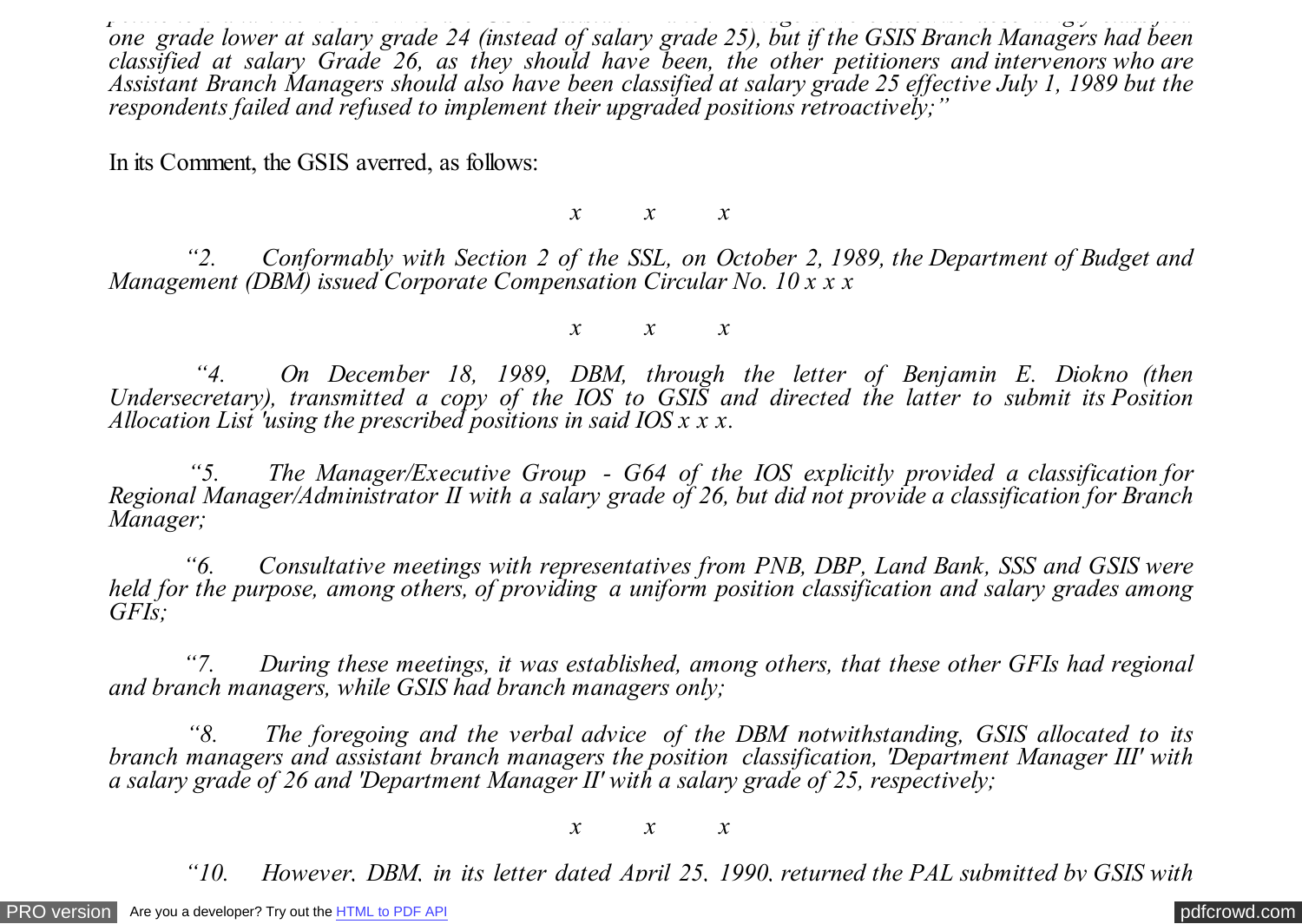*petitioners and intervenors who are GSIS Assistant Branch Managers were likewise accordingly classified one grade lower at salary grade 24 (instead of salary grade 25), but if the GSIS Branch Managers had been classified at salary Grade 26, as they should have been, the other petitioners and intervenors who are Assistant Branch Managers should also have been classified at salary grade 25 effective July 1, 1989 but the respondents failed and refused to implement their upgraded positions retroactively;"*

In its Comment, the GSIS averred, as follows:

*x x x*

 *"2. Conformably with Section 2 of the SSL, on October 2, 1989, the Department of Budget and Management (DBM) issued Corporate Compensation Circular No. 10 x x x*

*x x x*

 *"4. On December 18, 1989, DBM, through the letter of Benjamin E. Diokno (then Undersecretary), transmitted a copy of the IOS to GSIS and directed the latter to submit its Position Allocation List 'using the prescribed positions in said IOS x x x.*

 *"5. The Manager/Executive Group - G64 of the IOS explicitly provided a classification for Regional Manager/Administrator II with a salary grade of 26, but did not provide a classification for Branch Manager;*

 *"6. Consultative meetings with representatives from PNB, DBP, Land Bank, SSS and GSIS were held for the purpose, among others, of providing a uniform position classification and salary grades among GFIs;*

 *"7. During these meetings, it was established, among others, that these other GFIs had regional and branch managers, while GSIS had branch managers only;*

 *"8. The foregoing and the verbal advice of the DBM notwithstanding, GSIS allocated to its branch managers and assistant branch managers the position classification, 'Department Manager III' with a salary grade of 26 and 'Department Manager II' with a salary grade of 25, respectively;*

*x x x*

 *"10. However, DBM, in its letter dated April 25, 1990, returned the PAL submitted by GSIS with*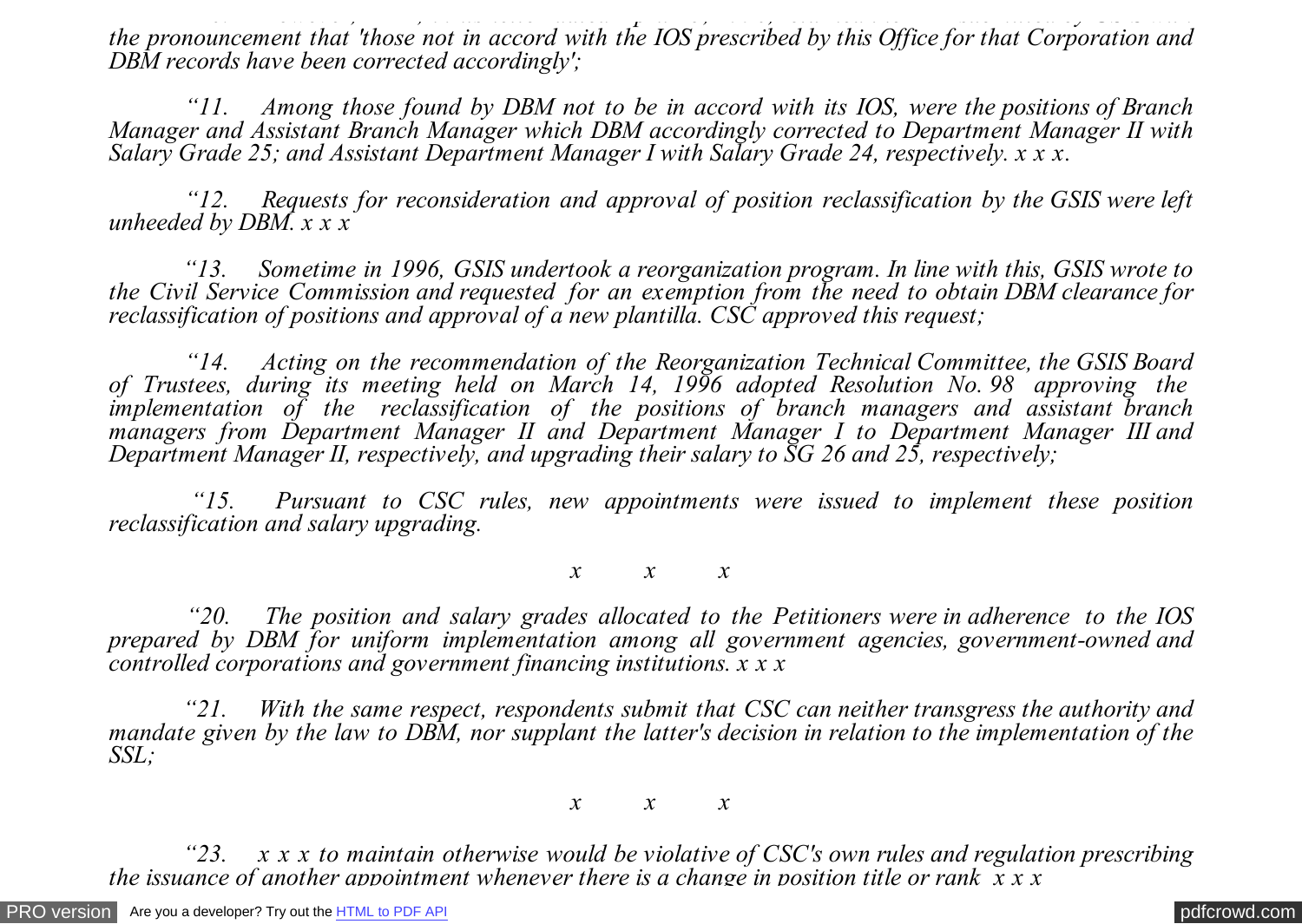*"10. However, DBM, in its letter dated April 25, 1990, returned the PAL submitted by GSIS with the pronouncement that 'those not in accord with the IOS prescribed by this Office for that Corporation and DBM records have been corrected accordingly';*

 *"11. Among those found by DBM not to be in accord with its IOS, were the positions of Branch Manager and Assistant Branch Manager which DBM accordingly corrected to Department Manager II with Salary Grade 25; and Assistant Department Manager I with Salary Grade 24, respectively. x x x.*

 *"12. Requests for reconsideration and approval of position reclassification by the GSIS were left unheeded by DBM. x x x*

 *"13. Sometime in 1996, GSIS undertook a reorganization program. In line with this, GSIS wrote to the Civil Service Commission and requested for an exemption from the need to obtain DBM clearance for reclassification of positions and approval of a new plantilla. CSC approved this request;*

 *"14. Acting on the recommendation of the Reorganization Technical Committee, the GSIS Board of Trustees, during its meeting held on March 14, 1996 adopted Resolution No. 98 approving the implementation of the reclassification of the positions of branch managers and assistant branch managers from Department Manager II and Department Manager I to Department Manager III and Department Manager II, respectively, and upgrading their salary to SG 26 and 25, respectively;*

 *"15. Pursuant to CSC rules, new appointments were issued to implement these position reclassification and salary upgrading.*

*x x x*

 *"20. The position and salary grades allocated to the Petitioners were in adherence to the IOS prepared by DBM for uniform implementation among all government agencies, government-owned and controlled corporations and government financing institutions. x x x*

 *"21. With the same respect, respondents submit that CSC can neither transgress the authority and mandate given by the law to DBM, nor supplant the latter's decision in relation to the implementation of the SSL;*

*x x x*

 *"23. x x x to maintain otherwise would be violative of CSC's own rules and regulation prescribing the issuance of another appointment whenever there is a change in position title or rank x x x*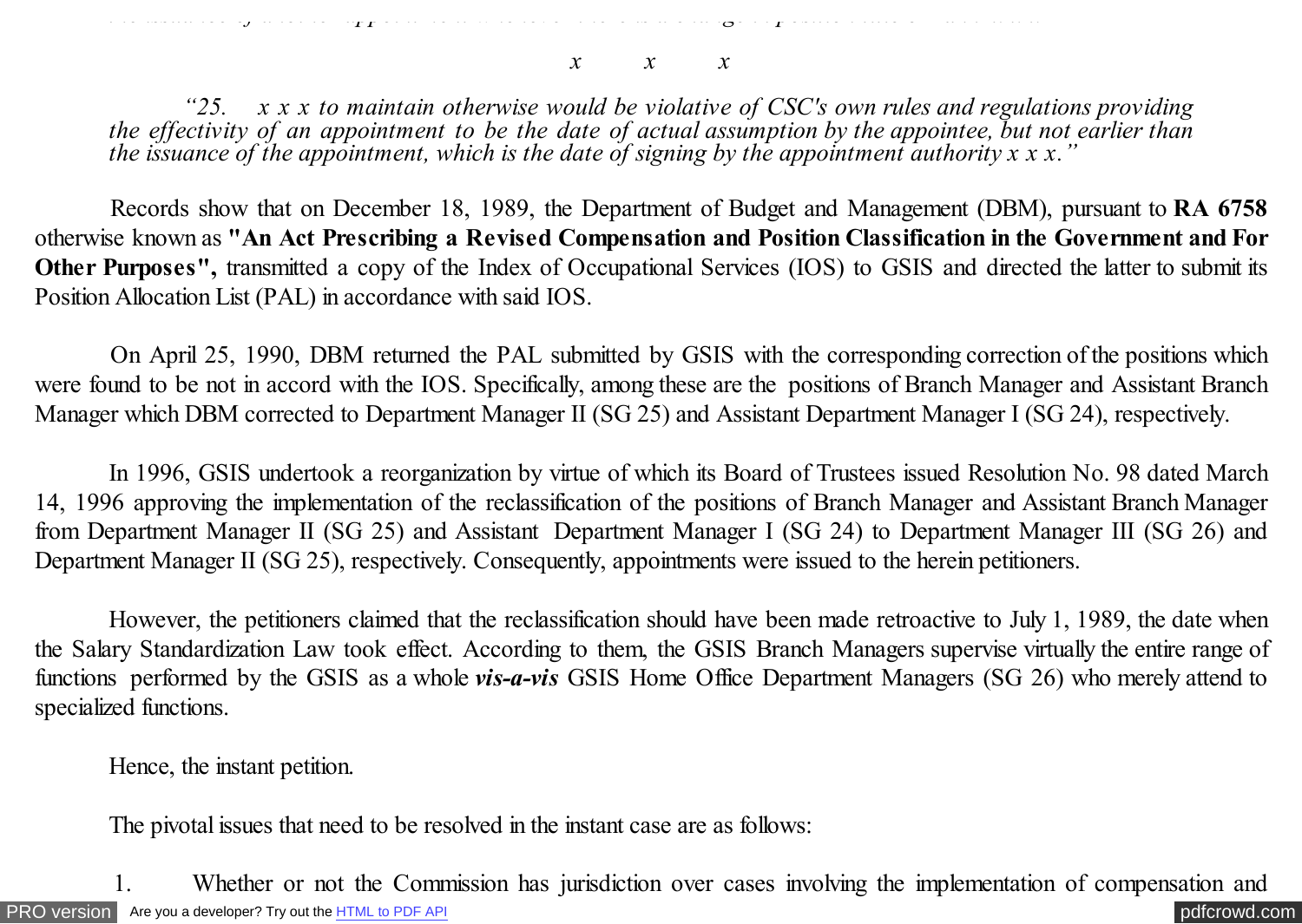*the issuance of another appointment whenever there is a change in position title or rank x x x*

*x x x*

 *"25. x x x to maintain otherwise would be violative of CSC's own rules and regulations providing the effectivity of an appointment to be the date of actual assumption by the appointee, but not earlier than the issuance of the appointment, which is the date of signing by the appointment authority x x x."*

 Records show that on December 18, 1989, the Department of Budget and Management (DBM), pursuant to **RA 6758** otherwise known as **"An Act Prescribing a Revised Compensation and Position Classification in the Government and For Other Purposes",** transmitted a copy of the Index of Occupational Services (IOS) to GSIS and directed the latter to submit its Position Allocation List (PAL) in accordance with said IOS.

 On April 25, 1990, DBM returned the PAL submitted by GSIS with the corresponding correction of the positions which were found to be not in accord with the IOS. Specifically, among these are the positions of Branch Manager and Assistant Branch Manager which DBM corrected to Department Manager II (SG 25) and Assistant Department Manager I (SG 24), respectively.

 In 1996, GSIS undertook a reorganization by virtue of which its Board of Trustees issued Resolution No. 98 dated March 14, 1996 approving the implementation of the reclassification of the positions of Branch Manager and Assistant Branch Manager from Department Manager II (SG 25) and Assistant Department Manager I (SG 24) to Department Manager III (SG 26) and Department Manager II (SG 25), respectively. Consequently, appointments were issued to the herein petitioners.

However, the petitioners claimed that the reclassification should have been made retroactive to July 1, 1989, the date when the Salary Standardization Law took effect. According to them, the GSIS Branch Managers supervise virtually the entire range of functions performed by the GSIS as a whole *vis-a-vis* GSIS Home Office Department Managers (SG 26) who merely attend to specialized functions.

Hence, the instant petition.

The pivotal issues that need to be resolved in the instant case are as follows:

[PRO version](http://pdfcrowd.com/customize/) Are you a developer? Try out th[e HTML to PDF API](http://pdfcrowd.com/html-to-pdf-api/?ref=pdf) [pdfcrowd.com](http://pdfcrowd.com) 1. Whether or not the Commission has jurisdiction over cases involving the implementation of compensation and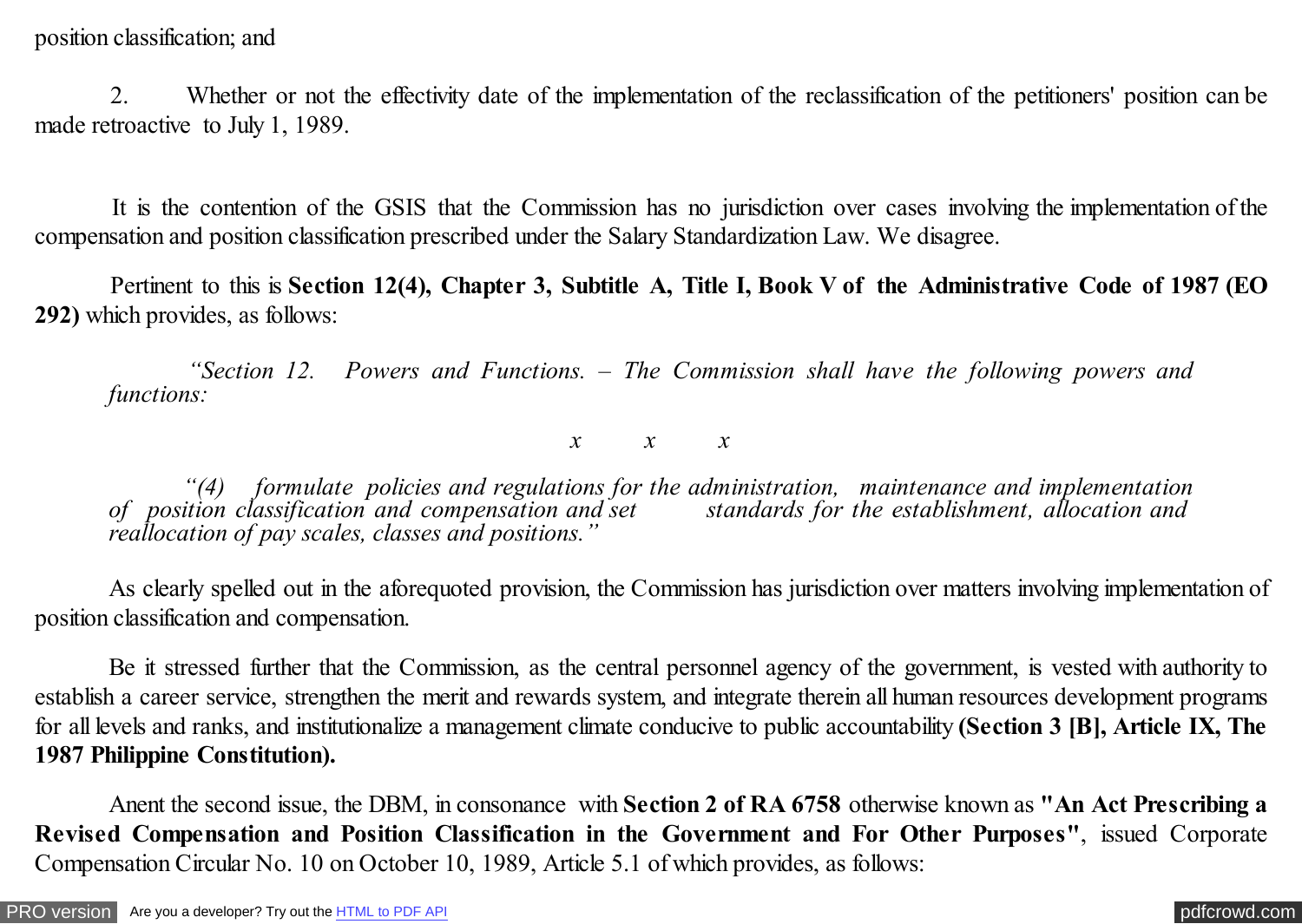2. Whether or not the effectivity date of the implementation of the reclassification of the petitioners' position can be made retroactive to July 1, 1989.

 It is the contention of the GSIS that the Commission has no jurisdiction over cases involving the implementation of the compensation and position classification prescribed under the Salary Standardization Law. We disagree.

 Pertinent to this is **Section 12(4), Chapter 3, Subtitle A, Title I, Book V of the Administrative Code of 1987 (EO 292)** which provides, as follows:

 *"Section 12. Powers and Functions. – The Commission shall have the following powers and functions:*

*x x x*

 *"(4) formulate policies and regulations for the administration, maintenance and implementation* of position classification and compensation and set *reallocation of pay scales, classes and positions."*

 As clearly spelled out in the aforequoted provision, the Commission has jurisdiction over matters involving implementation of position classification and compensation.

Be it stressed further that the Commission, as the central personnel agency of the government, is vested with authority to establish a career service, strengthen the merit and rewards system, and integrate therein all human resources development programs for all levels and ranks, and institutionalize a management climate conducive to public accountability **(Section 3 [B], Article IX, The 1987 Philippine Constitution).**

 Anent the second issue, the DBM, in consonance with **Section 2 of RA 6758** otherwise known as **"An Act Prescribing a Revised Compensation and Position Classification in the Government and For Other Purposes"**, issued Corporate Compensation Circular No. 10 on October 10, 1989, Article 5.1 of which provides, as follows: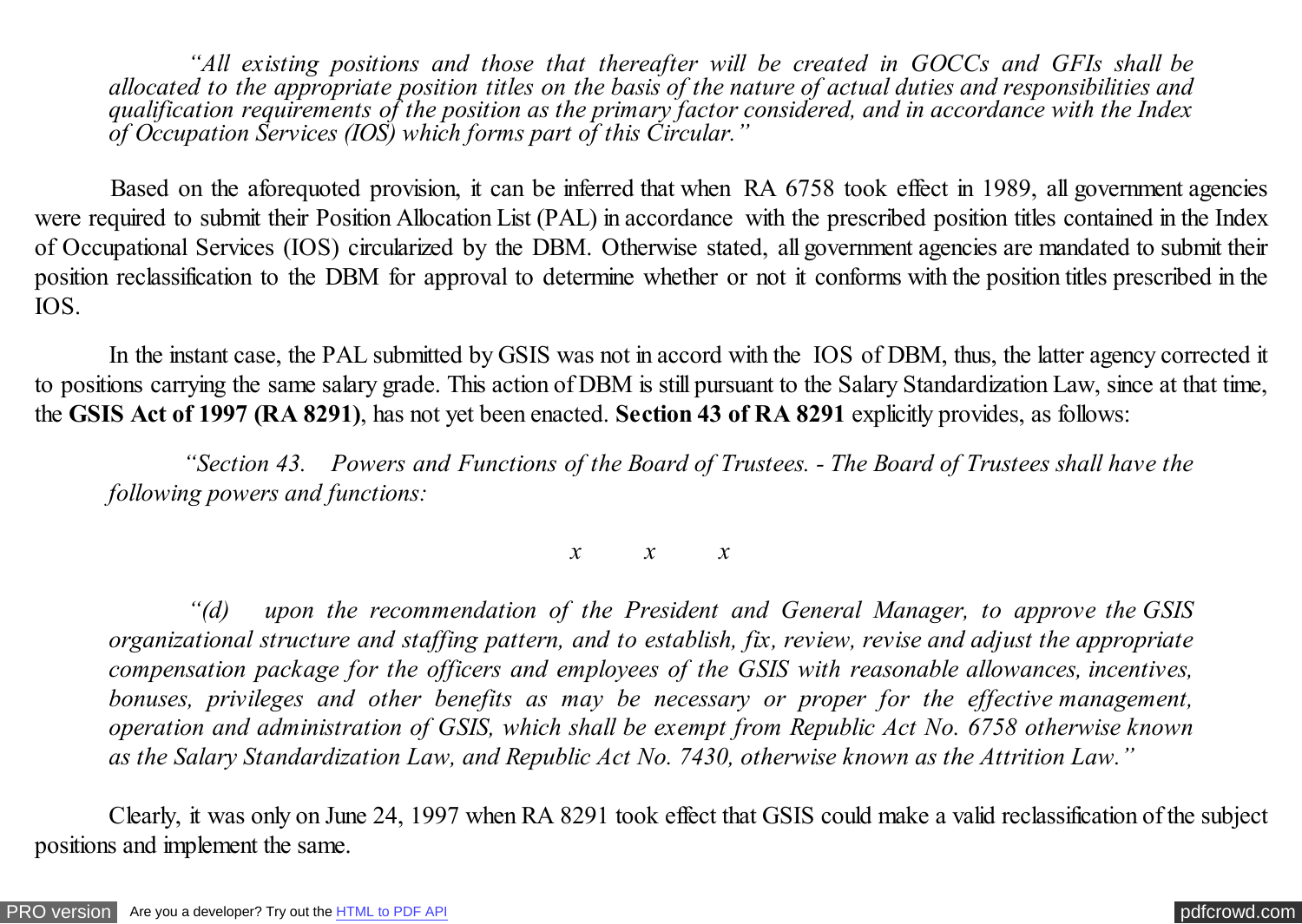*"All existing positions and those that thereafter will be created in GOCCs and GFIs shall be allocated to the appropriate position titles on the basis of the nature of actual duties and responsibilities and qualification requirements of the position as the primary factor considered, and in accordance with the Index of Occupation Services (IOS) which forms part of this Circular."*

 Based on the aforequoted provision, it can be inferred that when RA 6758 took effect in 1989, all government agencies were required to submit their Position Allocation List (PAL) in accordance with the prescribed position titles contained in the Index of Occupational Services (IOS) circularized by the DBM. Otherwise stated, all government agencies are mandated to submit their position reclassification to the DBM for approval to determine whether or not it conforms with the position titles prescribed in the IOS.

 In the instant case, the PAL submitted by GSIS was not in accord with the IOS of DBM, thus, the latter agency corrected it to positions carrying the same salary grade. This action of DBM is still pursuant to the Salary Standardization Law, since at that time, the **GSIS Act of 1997 (RA 8291)**, has not yet been enacted. **Section 43 of RA 8291** explicitly provides, as follows:

 *"Section 43. Powers and Functions of the Board of Trustees. - The Board of Trustees shall have the following powers and functions:*

*x x x*

 *"(d) upon the recommendation of the President and General Manager, to approve the GSIS organizational structure and staffing pattern, and to establish, fix, review, revise and adjust the appropriate compensation package for the officers and employees of the GSIS with reasonable allowances, incentives, bonuses, privileges and other benefits as may be necessary or proper for the effective management, operation and administration of GSIS, which shall be exempt from Republic Act No. 6758 otherwise known as the Salary Standardization Law, and Republic Act No. 7430, otherwise known as the Attrition Law."*

Clearly, it was only on June 24, 1997 when RA 8291 took effect that GSIS could make a valid reclassification of the subject positions and implement the same.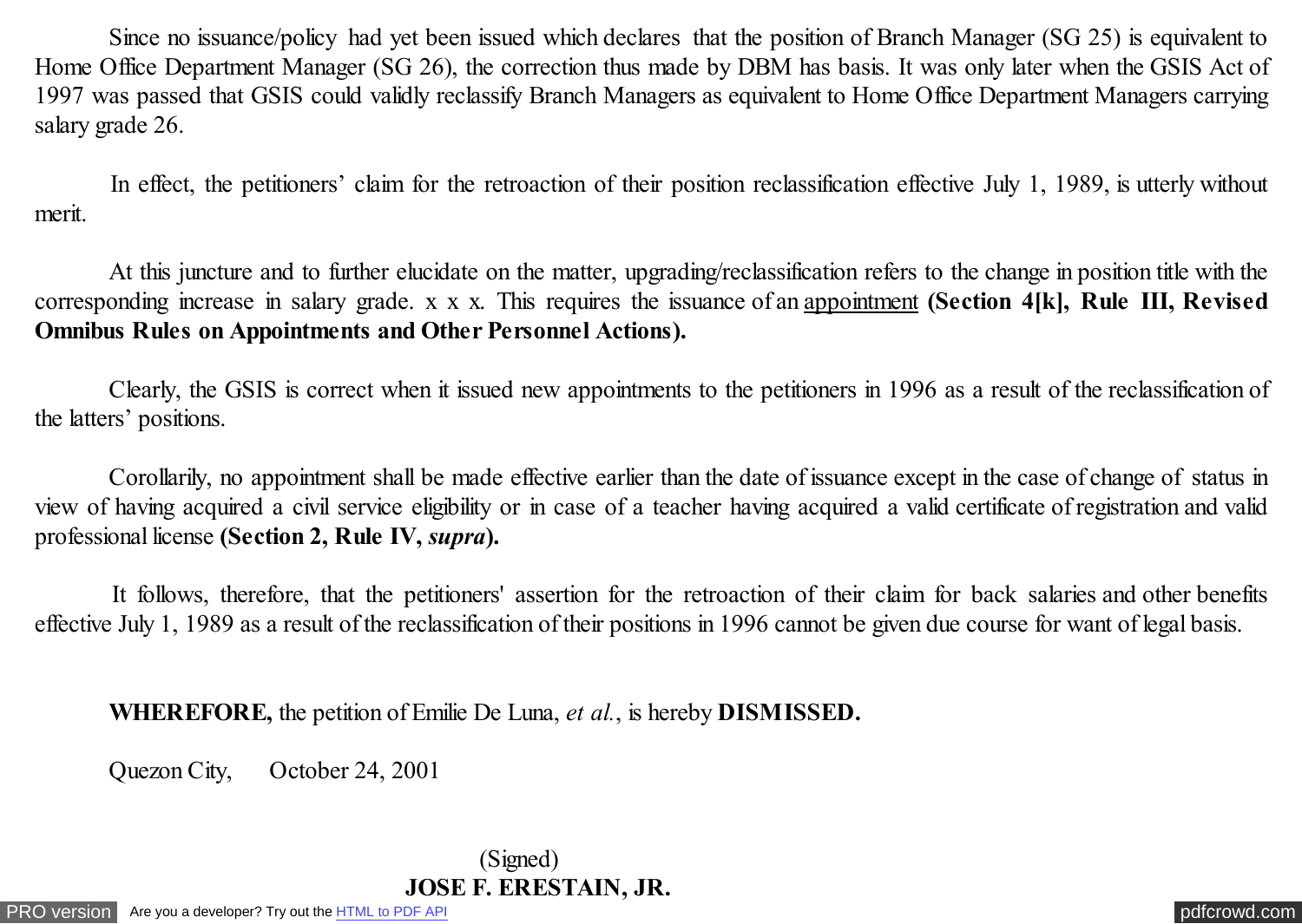Since no issuance/policy had yet been issued which declares that the position of Branch Manager (SG 25) is equivalent to Home Office Department Manager (SG 26), the correction thus made by DBM has basis. It was only later when the GSIS Act of 1997 was passed that GSIS could validly reclassify Branch Managers as equivalent to Home Office Department Managers carrying salary grade 26.

 In effect, the petitioners' claim for the retroaction of their position reclassification effective July 1, 1989, is utterly without merit.

 At this juncture and to further elucidate on the matter, upgrading/reclassification refers to the change in position title with the corresponding increase in salary grade. x x x. This requires the issuance of an appointment **(Section 4[k], Rule III, Revised Omnibus Rules on Appointments and Other Personnel Actions).**

 Clearly, the GSIS is correct when it issued new appointments to the petitioners in 1996 as a result of the reclassification of the latters' positions.

 Corollarily, no appointment shall be made effective earlier than the date of issuance except in the case of change of status in view of having acquired a civil service eligibility or in case of a teacher having acquired a valid certificate of registration and valid professional license **(Section 2, Rule IV,** *supra***).**

 It follows, therefore, that the petitioners' assertion for the retroaction of their claim for back salaries and other benefits effective July 1, 1989 as a result of the reclassification of their positions in 1996 cannot be given due course for want of legal basis.

**WHEREFORE,** the petition of Emilie De Luna, *et al.*, is hereby **DISMISSED.**

Quezon City, October 24, 2001

 (Signed) **JOSE F. ERESTAIN, JR.**